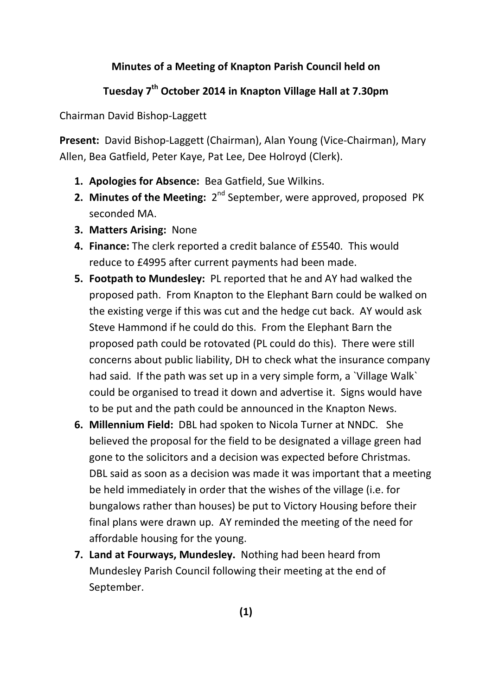## **Minutes of a Meeting of Knapton Parish Council held on**

## **Tuesday 7th October 2014 in Knapton Village Hall at 7.30pm**

Chairman David Bishop-Laggett

**Present:** David Bishop-Laggett (Chairman), Alan Young (Vice-Chairman), Mary Allen, Bea Gatfield, Peter Kaye, Pat Lee, Dee Holroyd (Clerk).

- **1. Apologies for Absence:** Bea Gatfield, Sue Wilkins.
- **2. Minutes of the Meeting:** 2<sup>nd</sup> September, were approved, proposed PK seconded MA.
- **3. Matters Arising:** None
- **4. Finance:** The clerk reported a credit balance of £5540. This would reduce to £4995 after current payments had been made.
- **5. Footpath to Mundesley:** PL reported that he and AY had walked the proposed path. From Knapton to the Elephant Barn could be walked on the existing verge if this was cut and the hedge cut back. AY would ask Steve Hammond if he could do this. From the Elephant Barn the proposed path could be rotovated (PL could do this). There were still concerns about public liability, DH to check what the insurance company had said. If the path was set up in a very simple form, a `Village Walk` could be organised to tread it down and advertise it. Signs would have to be put and the path could be announced in the Knapton News.
- **6. Millennium Field:** DBL had spoken to Nicola Turner at NNDC. She believed the proposal for the field to be designated a village green had gone to the solicitors and a decision was expected before Christmas. DBL said as soon as a decision was made it was important that a meeting be held immediately in order that the wishes of the village (i.e. for bungalows rather than houses) be put to Victory Housing before their final plans were drawn up. AY reminded the meeting of the need for affordable housing for the young.
- **7. Land at Fourways, Mundesley.** Nothing had been heard from Mundesley Parish Council following their meeting at the end of September.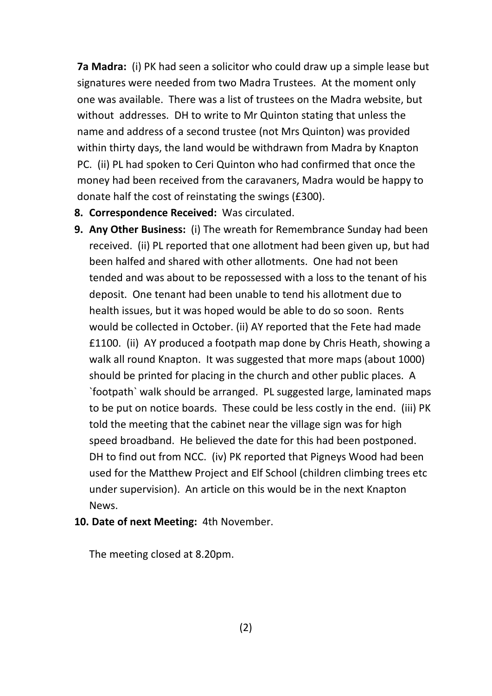**7a Madra:** (i) PK had seen a solicitor who could draw up a simple lease but signatures were needed from two Madra Trustees. At the moment only one was available. There was a list of trustees on the Madra website, but without addresses. DH to write to Mr Quinton stating that unless the name and address of a second trustee (not Mrs Quinton) was provided within thirty days, the land would be withdrawn from Madra by Knapton PC. (ii) PL had spoken to Ceri Quinton who had confirmed that once the money had been received from the caravaners, Madra would be happy to donate half the cost of reinstating the swings (£300).

- **8. Correspondence Received:** Was circulated.
- **9. Any Other Business:** (i) The wreath for Remembrance Sunday had been received. (ii) PL reported that one allotment had been given up, but had been halfed and shared with other allotments. One had not been tended and was about to be repossessed with a loss to the tenant of his deposit. One tenant had been unable to tend his allotment due to health issues, but it was hoped would be able to do so soon. Rents would be collected in October. (ii) AY reported that the Fete had made £1100. (ii) AY produced a footpath map done by Chris Heath, showing a walk all round Knapton. It was suggested that more maps (about 1000) should be printed for placing in the church and other public places. A `footpath` walk should be arranged. PL suggested large, laminated maps to be put on notice boards. These could be less costly in the end. (iii) PK told the meeting that the cabinet near the village sign was for high speed broadband. He believed the date for this had been postponed. DH to find out from NCC. (iv) PK reported that Pigneys Wood had been used for the Matthew Project and Elf School (children climbing trees etc under supervision). An article on this would be in the next Knapton News.
- **10. Date of next Meeting:** 4th November.

The meeting closed at 8.20pm.